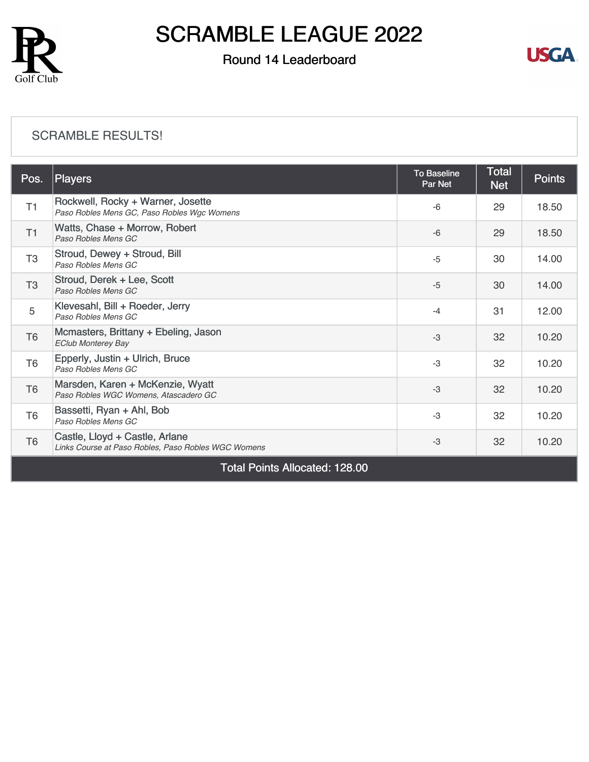

### Round 14 Leaderboard



#### [SCRAMBLE RESULTS!](https://static.golfgenius.com/v2tournaments/8529228809226993600?called_from=&round_index=14)

| T1             | Rockwell, Rocky + Warner, Josette                                                     |      |    |       |
|----------------|---------------------------------------------------------------------------------------|------|----|-------|
|                | Paso Robles Mens GC, Paso Robles Wgc Womens                                           | $-6$ | 29 | 18.50 |
| T1             | Watts, Chase + Morrow, Robert<br>Paso Robles Mens GC                                  | $-6$ | 29 | 18.50 |
| T <sub>3</sub> | Stroud, Dewey + Stroud, Bill<br>Paso Robles Mens GC                                   | $-5$ | 30 | 14.00 |
| T <sub>3</sub> | Stroud, Derek + Lee, Scott<br>Paso Robles Mens GC                                     | $-5$ | 30 | 14.00 |
| 5              | Klevesahl, Bill + Roeder, Jerry<br>Paso Robles Mens GC                                | $-4$ | 31 | 12.00 |
| T <sub>6</sub> | Mcmasters, Brittany + Ebeling, Jason<br><b>EClub Monterey Bay</b>                     | $-3$ | 32 | 10.20 |
| T <sub>6</sub> | Epperly, Justin + Ulrich, Bruce<br>Paso Robles Mens GC                                | $-3$ | 32 | 10.20 |
| T <sub>6</sub> | Marsden, Karen + McKenzie, Wyatt<br>Paso Robles WGC Womens, Atascadero GC             | $-3$ | 32 | 10.20 |
| T <sub>6</sub> | Bassetti, Ryan + Ahl, Bob<br>Paso Robles Mens GC                                      | $-3$ | 32 | 10.20 |
| T <sub>6</sub> | Castle, Lloyd + Castle, Arlane<br>Links Course at Paso Robles, Paso Robles WGC Womens | $-3$ | 32 | 10.20 |

Total Points Allocated: 128.00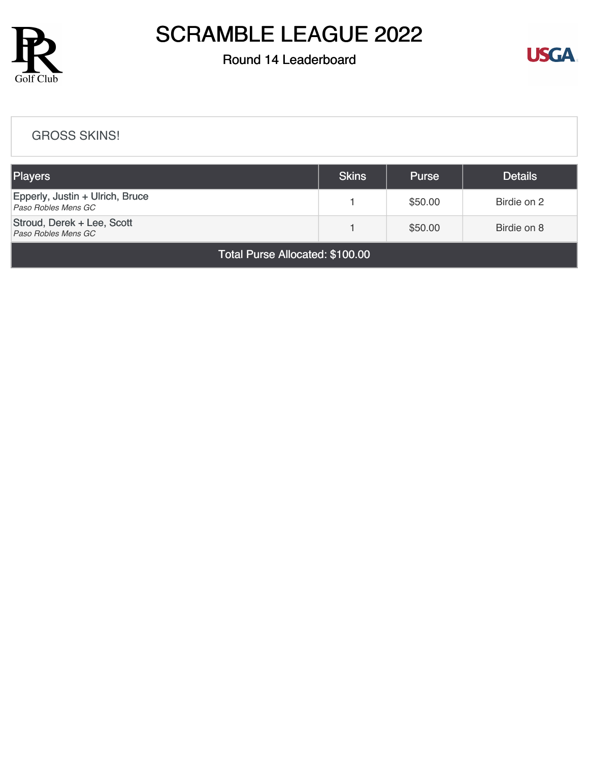

### Round 14 Leaderboard



#### [GROSS SKINS!](https://static.golfgenius.com/v2tournaments/8529229581985562561?called_from=&round_index=14)

| <b>Players</b>                                         | <b>Skins</b> | <b>Purse</b> | <b>Details</b> |  |  |
|--------------------------------------------------------|--------------|--------------|----------------|--|--|
| Epperly, Justin + Ulrich, Bruce<br>Paso Robles Mens GC |              | \$50.00      | Birdie on 2    |  |  |
| Stroud, Derek + Lee, Scott<br>Paso Robles Mens GC      |              | \$50.00      | Birdie on 8    |  |  |
| <b>Total Purse Allocated: \$100.00</b>                 |              |              |                |  |  |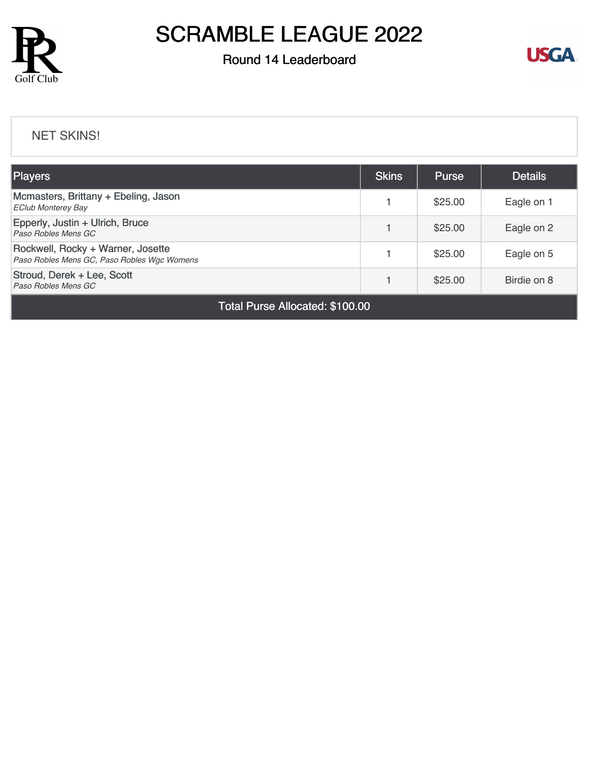

### Round 14 Leaderboard



#### [NET SKINS!](https://static.golfgenius.com/v2tournaments/8529231387281113026?called_from=&round_index=14)

| Players                                                                          | <b>Skins</b> | <b>Purse</b> | <b>Details</b> |
|----------------------------------------------------------------------------------|--------------|--------------|----------------|
| Mcmasters, Brittany + Ebeling, Jason<br><b>EClub Monterey Bay</b>                |              | \$25.00      | Eagle on 1     |
| Epperly, Justin + Ulrich, Bruce<br>Paso Robles Mens GC                           |              | \$25.00      | Eagle on 2     |
| Rockwell, Rocky + Warner, Josette<br>Paso Robles Mens GC, Paso Robles Wgc Womens |              | \$25.00      | Eagle on 5     |
| Stroud, Derek + Lee, Scott<br>Paso Robles Mens GC                                |              | \$25.00      | Birdie on 8    |

Total Purse Allocated: \$100.00